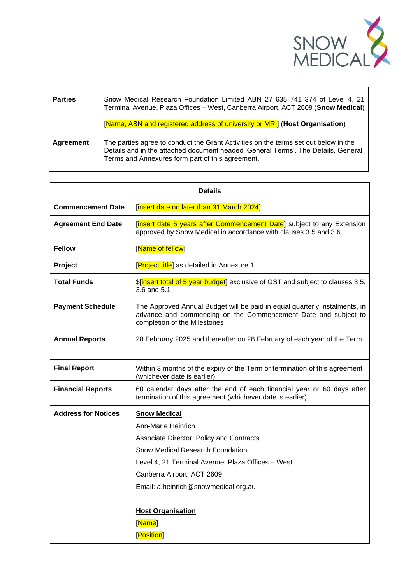

| <b>Parties</b> | Snow Medical Research Foundation Limited ABN 27 635 741 374 of Level 4, 21<br>Terminal Avenue, Plaza Offices - West, Canberra Airport, ACT 2609 (Snow Medical)<br>[Name, ABN and registered address of university or MRI] (Host Organisation) |
|----------------|-----------------------------------------------------------------------------------------------------------------------------------------------------------------------------------------------------------------------------------------------|
| Agreement      | The parties agree to conduct the Grant Activities on the terms set out below in the<br>Details and in the attached document headed 'General Terms'. The Details, General<br>Terms and Annexures form part of this agreement.                  |

| <b>Details</b>             |                                                                                                                                                                              |  |
|----------------------------|------------------------------------------------------------------------------------------------------------------------------------------------------------------------------|--|
| <b>Commencement Date</b>   | [insert date no later than 31 March 2024]                                                                                                                                    |  |
| <b>Agreement End Date</b>  | [insert date 5 years after Commencement Date] subject to any Extension<br>approved by Snow Medical in accordance with clauses 3.5 and 3.6                                    |  |
| <b>Fellow</b>              | [Name of fellow]                                                                                                                                                             |  |
| Project                    | [Project title] as detailed in Annexure 1                                                                                                                                    |  |
| <b>Total Funds</b>         | \$[insert total of 5 year budget] exclusive of GST and subject to clauses 3.5,<br>3.6 and 5.1                                                                                |  |
| <b>Payment Schedule</b>    | The Approved Annual Budget will be paid in equal quarterly instalments, in<br>advance and commencing on the Commencement Date and subject to<br>completion of the Milestones |  |
| <b>Annual Reports</b>      | 28 February 2025 and thereafter on 28 February of each year of the Term                                                                                                      |  |
| <b>Final Report</b>        | Within 3 months of the expiry of the Term or termination of this agreement<br>(whichever date is earlier)                                                                    |  |
| <b>Financial Reports</b>   | 60 calendar days after the end of each financial year or 60 days after<br>termination of this agreement (whichever date is earlier)                                          |  |
| <b>Address for Notices</b> | <b>Snow Medical</b>                                                                                                                                                          |  |
|                            | Ann-Marie Heinrich                                                                                                                                                           |  |
|                            | Associate Director, Policy and Contracts                                                                                                                                     |  |
|                            | Snow Medical Research Foundation                                                                                                                                             |  |
|                            | Level 4, 21 Terminal Avenue, Plaza Offices - West                                                                                                                            |  |
|                            | Canberra Airport, ACT 2609                                                                                                                                                   |  |
|                            | Email: a.heinrich@snowmedical.org.au                                                                                                                                         |  |
|                            | <b>Host Organisation</b><br>[Name]<br>[Position]                                                                                                                             |  |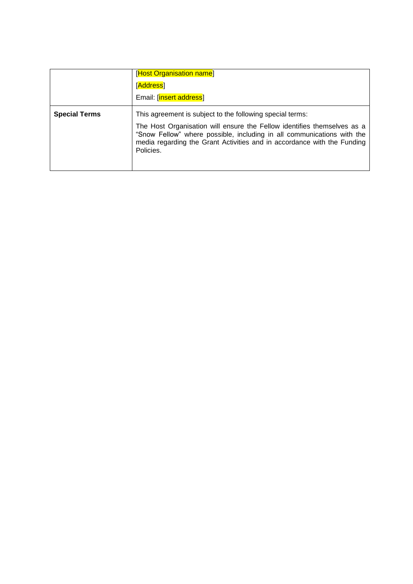|                      | [Host Organisation name]<br>[Address]<br>Email: [insert address]                                                                                                                                                                                                                                       |
|----------------------|--------------------------------------------------------------------------------------------------------------------------------------------------------------------------------------------------------------------------------------------------------------------------------------------------------|
| <b>Special Terms</b> | This agreement is subject to the following special terms:<br>The Host Organisation will ensure the Fellow identifies themselves as a<br>"Snow Fellow" where possible, including in all communications with the<br>media regarding the Grant Activities and in accordance with the Funding<br>Policies. |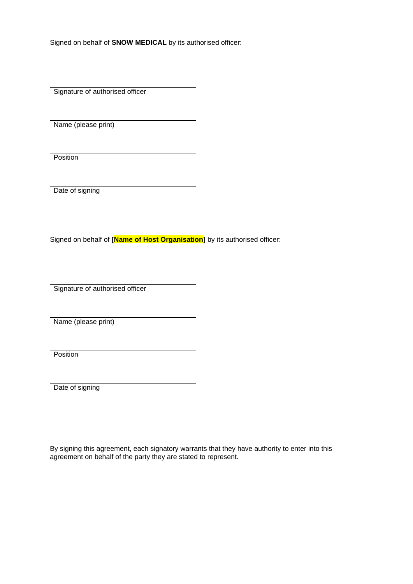Signed on behalf of **SNOW MEDICAL** by its authorised officer:

Signature of authorised officer

Name (please print)

**Position** 

Date of signing

Signed on behalf of **[Name of Host Organisation]** by its authorised officer:

Signature of authorised officer

Name (please print)

**Position** 

Date of signing

By signing this agreement, each signatory warrants that they have authority to enter into this agreement on behalf of the party they are stated to represent.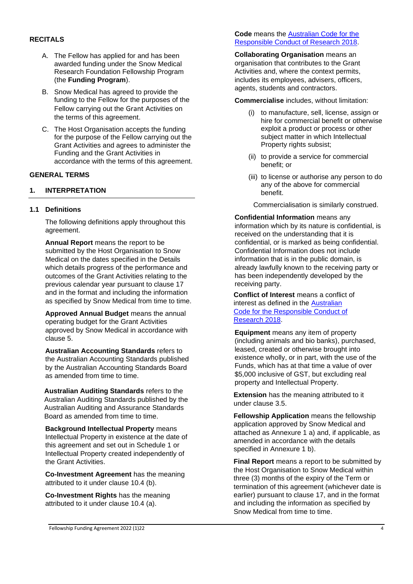#### **RECITALS**

- A. The Fellow has applied for and has been awarded funding under the Snow Medical Research Foundation Fellowship Program (the **Funding Program**).
- B. Snow Medical has agreed to provide the funding to the Fellow for the purposes of the Fellow carrying out the Grant Activities on the terms of this agreement.
- C. The Host Organisation accepts the funding for the purpose of the Fellow carrying out the Grant Activities and agrees to administer the Funding and the Grant Activities in accordance with the terms of this agreement.

#### **GENERAL TERMS**

### **1. INTERPRETATION**

#### **1.1 Definitions**

The following definitions apply throughout this agreement.

**Annual Report** means the report to be submitted by the Host Organisation to Snow Medical on the dates specified in the Details which details progress of the performance and outcomes of the Grant Activities relating to the previous calendar year pursuant to clause 17 and in the format and including the information as specified by Snow Medical from time to time.

**Approved Annual Budget** means the annual operating budget for the Grant Activities approved by Snow Medical in accordance with clause 5.

**Australian Accounting Standards** refers to the Australian Accounting Standards published by the Australian Accounting Standards Board as amended from time to time.

**Australian Auditing Standards** refers to the Australian Auditing Standards published by the Australian Auditing and Assurance Standards Board as amended from time to time.

**Background Intellectual Property** means Intellectual Property in existence at the date of this agreement and set out in Schedule 1 or Intellectual Property created independently of the Grant Activities.

**Co-Investment Agreement** has the meaning attributed to it under clause 10.4 (b).

**Co-Investment Rights** has the meaning attributed to it under clause 10.4 (a).

#### **Code** means the [Australian Code for the](https://www.nhmrc.gov.au/about-us/publications/australian-code-responsible-conduct-research-2018#block-views-block-file-attachments-content-block-1)  [Responsible Conduct of Research 2018.](https://www.nhmrc.gov.au/about-us/publications/australian-code-responsible-conduct-research-2018#block-views-block-file-attachments-content-block-1)

**Collaborating Organisation** means an organisation that contributes to the Grant Activities and, where the context permits, includes its employees, advisers, officers, agents, students and contractors.

**Commercialise** includes, without limitation:

- (i) to manufacture, sell, license, assign or hire for commercial benefit or otherwise exploit a product or process or other subject matter in which Intellectual Property rights subsist;
- (ii) to provide a service for commercial benefit; or
- (iii) to license or authorise any person to do any of the above for commercial benefit.

Commercialisation is similarly construed.

**Confidential Information** means any information which by its nature is confidential, is received on the understanding that it is confidential, or is marked as being confidential. Confidential Information does not include information that is in the public domain, is already lawfully known to the receiving party or has been independently developed by the receiving party.

**Conflict of Interest** means a conflict of interest as defined in the [Australian](https://www.nhmrc.gov.au/about-us/publications/australian-code-responsible-conduct-research-2018#block-views-block-file-attachments-content-block-1)  [Code for the Responsible Conduct of](https://www.nhmrc.gov.au/about-us/publications/australian-code-responsible-conduct-research-2018#block-views-block-file-attachments-content-block-1)  [Research 2018.](https://www.nhmrc.gov.au/about-us/publications/australian-code-responsible-conduct-research-2018#block-views-block-file-attachments-content-block-1)

**Equipment** means any item of property (including animals and bio banks), purchased, leased, created or otherwise brought into existence wholly, or in part, with the use of the Funds, which has at that time a value of over \$5,000 inclusive of GST, but excluding real property and Intellectual Property.

**Extension** has the meaning attributed to it under clause 3.5.

**Fellowship Application** means the fellowship application approved by Snow Medical and attached as Annexure 1 a) and, if applicable, as amended in accordance with the details specified in Annexure 1 b).

**Final Report** means a report to be submitted by the Host Organisation to Snow Medical within three (3) months of the expiry of the Term or termination of this agreement (whichever date is earlier) pursuant to clause 17, and in the format and including the information as specified by Snow Medical from time to time.

#### Fellowship Funding Agreement 2022 (1)22 4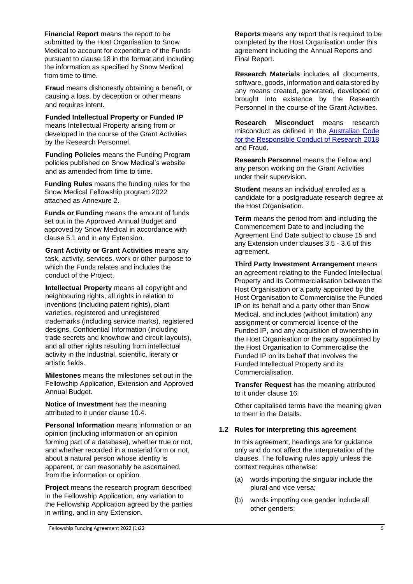**Financial Report** means the report to be submitted by the Host Organisation to Snow Medical to account for expenditure of the Funds pursuant to clause 18 in the format and including the information as specified by Snow Medical from time to time.

**Fraud** means dishonestly obtaining a benefit, or causing a loss, by deception or other means and requires intent.

**Funded Intellectual Property or Funded IP** means Intellectual Property arising from or developed in the course of the Grant Activities by the Research Personnel.

**Funding Policies** means the Funding Program policies published on Snow Medical's website and as amended from time to time.

**Funding Rules** means the funding rules for the Snow Medical Fellowship program 2022 attached as Annexure 2.

**Funds or Funding** means the amount of funds set out in the Approved Annual Budget and approved by Snow Medical in accordance with clause 5.1 and in any Extension.

**Grant Activity or Grant Activities** means any task, activity, services, work or other purpose to which the Funds relates and includes the conduct of the Project.

**Intellectual Property** means all copyright and neighbouring rights, all rights in relation to inventions (including patent rights), plant varieties, registered and unregistered trademarks (including service marks), registered designs, Confidential Information (including trade secrets and knowhow and circuit layouts), and all other rights resulting from intellectual activity in the industrial, scientific, literary or artistic fields.

**Milestones** means the milestones set out in the Fellowship Application, Extension and Approved Annual Budget.

**Notice of Investment** has the meaning attributed to it under clause 10.4.

**Personal Information** means information or an opinion (including information or an opinion forming part of a database), whether true or not, and whether recorded in a material form or not, about a natural person whose identity is apparent, or can reasonably be ascertained, from the information or opinion.

**Project** means the research program described in the Fellowship Application, any variation to the Fellowship Application agreed by the parties in writing, and in any Extension.

**Reports** means any report that is required to be completed by the Host Organisation under this agreement including the Annual Reports and Final Report.

**Research Materials** includes all documents, software, goods, information and data stored by any means created, generated, developed or brought into existence by the Research Personnel in the course of the Grant Activities.

**Research Misconduct** means research misconduct as defined in the [Australian Code](https://www.nhmrc.gov.au/about-us/publications/australian-code-responsible-conduct-research-2018#block-views-block-file-attachments-content-block-1)  [for the Responsible Conduct of Research](https://www.nhmrc.gov.au/about-us/publications/australian-code-responsible-conduct-research-2018#block-views-block-file-attachments-content-block-1) 2018 and Fraud.

**Research Personnel** means the Fellow and any person working on the Grant Activities under their supervision.

**Student** means an individual enrolled as a candidate for a postgraduate research degree at the Host Organisation.

**Term** means the period from and including the Commencement Date to and including the Agreement End Date subject to clause 15 and any Extension under clauses 3.5 - 3.6 of this agreement.

**Third Party Investment Arrangement** means an agreement relating to the Funded Intellectual Property and its Commercialisation between the Host Organisation or a party appointed by the Host Organisation to Commercialise the Funded IP on its behalf and a party other than Snow Medical, and includes (without limitation) any assignment or commercial licence of the Funded IP, and any acquisition of ownership in the Host Organisation or the party appointed by the Host Organisation to Commercialise the Funded IP on its behalf that involves the Funded Intellectual Property and its Commercialisation.

**Transfer Request** has the meaning attributed to it under clause 16.

Other capitalised terms have the meaning given to them in the Details.

### **1.2 Rules for interpreting this agreement**

In this agreement, headings are for guidance only and do not affect the interpretation of the clauses. The following rules apply unless the context requires otherwise:

- (a) words importing the singular include the plural and vice versa;
- (b) words importing one gender include all other genders;

Fellowship Funding Agreement 2022 (1)22 5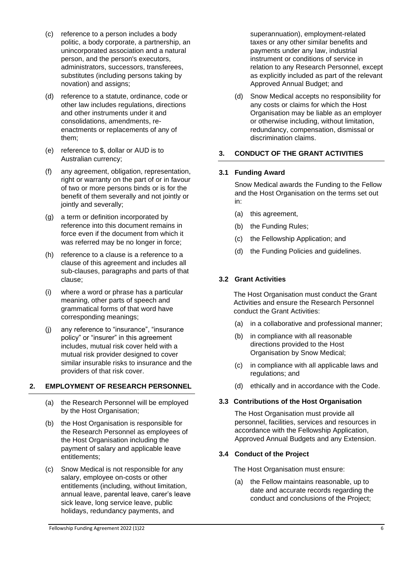- (c) reference to a person includes a body politic, a body corporate, a partnership, an unincorporated association and a natural person, and the person's executors, administrators, successors, transferees, substitutes (including persons taking by novation) and assigns;
- (d) reference to a statute, ordinance, code or other law includes regulations, directions and other instruments under it and consolidations, amendments, reenactments or replacements of any of them;
- (e) reference to \$, dollar or AUD is to Australian currency;
- (f) any agreement, obligation, representation, right or warranty on the part of or in favour of two or more persons binds or is for the benefit of them severally and not jointly or jointly and severally;
- (g) a term or definition incorporated by reference into this document remains in force even if the document from which it was referred may be no longer in force;
- (h) reference to a clause is a reference to a clause of this agreement and includes all sub-clauses, paragraphs and parts of that clause;
- (i) where a word or phrase has a particular meaning, other parts of speech and grammatical forms of that word have corresponding meanings;
- (j) any reference to "insurance", "insurance policy" or "insurer" in this agreement includes, mutual risk cover held with a mutual risk provider designed to cover similar insurable risks to insurance and the providers of that risk cover.

### **2. EMPLOYMENT OF RESEARCH PERSONNEL**

- (a) the Research Personnel will be employed by the Host Organisation;
- (b) the Host Organisation is responsible for the Research Personnel as employees of the Host Organisation including the payment of salary and applicable leave entitlements;
- (c) Snow Medical is not responsible for any salary, employee on-costs or other entitlements (including, without limitation, annual leave, parental leave, carer's leave sick leave, long service leave, public holidays, redundancy payments, and

superannuation), employment-related taxes or any other similar benefits and payments under any law, industrial instrument or conditions of service in relation to any Research Personnel, except as explicitly included as part of the relevant Approved Annual Budget; and

(d) Snow Medical accepts no responsibility for any costs or claims for which the Host Organisation may be liable as an employer or otherwise including, without limitation, redundancy, compensation, dismissal or discrimination claims.

### **3. CONDUCT OF THE GRANT ACTIVITIES**

### **3.1 Funding Award**

Snow Medical awards the Funding to the Fellow and the Host Organisation on the terms set out in:

- (a) this agreement,
- (b) the Funding Rules;
- (c) the Fellowship Application; and
- (d) the Funding Policies and guidelines.

### **3.2 Grant Activities**

The Host Organisation must conduct the Grant Activities and ensure the Research Personnel conduct the Grant Activities:

- (a) in a collaborative and professional manner;
- (b) in compliance with all reasonable directions provided to the Host Organisation by Snow Medical;
- (c) in compliance with all applicable laws and regulations; and
- (d) ethically and in accordance with the Code.

### **3.3 Contributions of the Host Organisation**

The Host Organisation must provide all personnel, facilities, services and resources in accordance with the Fellowship Application, Approved Annual Budgets and any Extension.

### **3.4 Conduct of the Project**

The Host Organisation must ensure:

(a) the Fellow maintains reasonable, up to date and accurate records regarding the conduct and conclusions of the Project;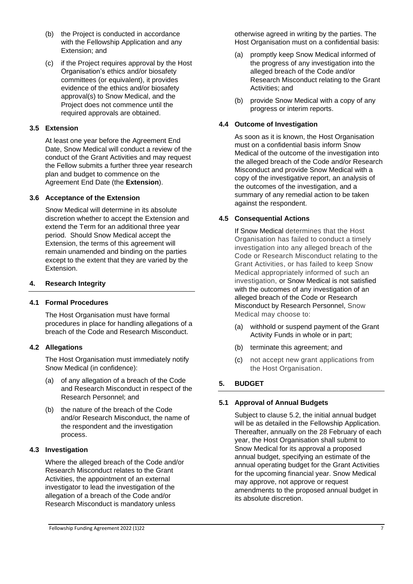- (b) the Project is conducted in accordance with the Fellowship Application and any Extension; and
- (c) if the Project requires approval by the Host Organisation's ethics and/or biosafety committees (or equivalent), it provides evidence of the ethics and/or biosafety approval(s) to Snow Medical, and the Project does not commence until the required approvals are obtained.

### **3.5 Extension**

At least one year before the Agreement End Date, Snow Medical will conduct a review of the conduct of the Grant Activities and may request the Fellow submits a further three year research plan and budget to commence on the Agreement End Date (the **Extension**).

### **3.6 Acceptance of the Extension**

Snow Medical will determine in its absolute discretion whether to accept the Extension and extend the Term for an additional three year period. Should Snow Medical accept the Extension, the terms of this agreement will remain unamended and binding on the parties except to the extent that they are varied by the Extension.

### **4. Research Integrity**

### **4.1 Formal Procedures**

The Host Organisation must have formal procedures in place for handling allegations of a breach of the Code and Research Misconduct.

### **4.2 Allegations**

The Host Organisation must immediately notify Snow Medical (in confidence):

- (a) of any allegation of a breach of the Code and Research Misconduct in respect of the Research Personnel; and
- (b) the nature of the breach of the Code and/or Research Misconduct, the name of the respondent and the investigation process.

### **4.3 Investigation**

Where the alleged breach of the Code and/or Research Misconduct relates to the Grant Activities, the appointment of an external investigator to lead the investigation of the allegation of a breach of the Code and/or Research Misconduct is mandatory unless

- (a) promptly keep Snow Medical informed of the progress of any investigation into the alleged breach of the Code and/or Research Misconduct relating to the Grant Activities; and
- (b) provide Snow Medical with a copy of any progress or interim reports.

## **4.4 Outcome of Investigation**

As soon as it is known, the Host Organisation must on a confidential basis inform Snow Medical of the outcome of the investigation into the alleged breach of the Code and/or Research Misconduct and provide Snow Medical with a copy of the investigative report, an analysis of the outcomes of the investigation, and a summary of any remedial action to be taken against the respondent.

## **4.5 Consequential Actions**

If Snow Medical determines that the Host Organisation has failed to conduct a timely investigation into any alleged breach of the Code or Research Misconduct relating to the Grant Activities, or has failed to keep Snow Medical appropriately informed of such an investigation, or Snow Medical is not satisfied with the outcomes of any investigation of an alleged breach of the Code or Research Misconduct by Research Personnel, Snow Medical may choose to:

- (a) withhold or suspend payment of the Grant Activity Funds in whole or in part;
- (b) terminate this agreement; and
- (c) not accept new grant applications from the Host Organisation.

## **5. BUDGET**

## **5.1 Approval of Annual Budgets**

Subject to clause 5.2, the initial annual budget will be as detailed in the Fellowship Application. Thereafter, annually on the 28 February of each year, the Host Organisation shall submit to Snow Medical for its approval a proposed annual budget, specifying an estimate of the annual operating budget for the Grant Activities for the upcoming financial year. Snow Medical may approve, not approve or request amendments to the proposed annual budget in its absolute discretion.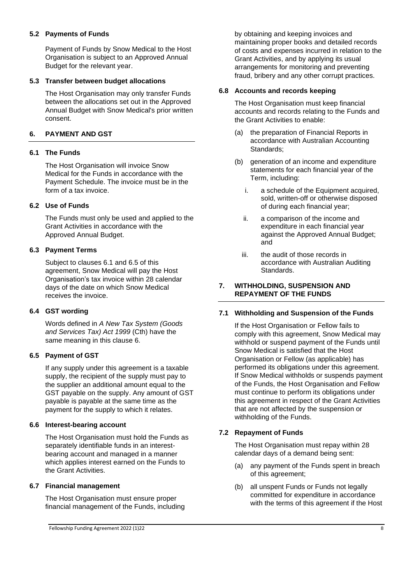### **5.2 Payments of Funds**

Payment of Funds by Snow Medical to the Host Organisation is subject to an Approved Annual Budget for the relevant year.

### **5.3 Transfer between budget allocations**

The Host Organisation may only transfer Funds between the allocations set out in the Approved Annual Budget with Snow Medical's prior written consent.

### **6. PAYMENT AND GST**

### **6.1 The Funds**

The Host Organisation will invoice Snow Medical for the Funds in accordance with the Payment Schedule. The invoice must be in the form of a tax invoice.

### **6.2 Use of Funds**

The Funds must only be used and applied to the Grant Activities in accordance with the Approved Annual Budget.

### **6.3 Payment Terms**

Subject to clauses 6.1 and 6.5 of this agreement, Snow Medical will pay the Host Organisation's tax invoice within 28 calendar days of the date on which Snow Medical receives the invoice.

### **6.4 GST wording**

Words defined in *A New Tax System (Goods and Services Tax) Act 1999* (Cth) have the same meaning in this clause 6.

### **6.5 Payment of GST**

If any supply under this agreement is a taxable supply, the recipient of the supply must pay to the supplier an additional amount equal to the GST payable on the supply. Any amount of GST payable is payable at the same time as the payment for the supply to which it relates.

#### **6.6 Interest-bearing account**

The Host Organisation must hold the Funds as separately identifiable funds in an interestbearing account and managed in a manner which applies interest earned on the Funds to the Grant Activities.

#### **6.7 Financial management**

The Host Organisation must ensure proper financial management of the Funds, including by obtaining and keeping invoices and maintaining proper books and detailed records of costs and expenses incurred in relation to the Grant Activities, and by applying its usual arrangements for monitoring and preventing fraud, bribery and any other corrupt practices.

#### **6.8 Accounts and records keeping**

The Host Organisation must keep financial accounts and records relating to the Funds and the Grant Activities to enable:

- (a) the preparation of Financial Reports in accordance with Australian Accounting Standards;
- (b) generation of an income and expenditure statements for each financial year of the Term, including:
	- i. a schedule of the Equipment acquired, sold, written-off or otherwise disposed of during each financial year;
	- ii. a comparison of the income and expenditure in each financial year against the Approved Annual Budget; and
	- iii. the audit of those records in accordance with Australian Auditing Standards.

### **7. WITHHOLDING, SUSPENSION AND REPAYMENT OF THE FUNDS**

#### **7.1 Withholding and Suspension of the Funds**

If the Host Organisation or Fellow fails to comply with this agreement, Snow Medical may withhold or suspend payment of the Funds until Snow Medical is satisfied that the Host Organisation or Fellow (as applicable) has performed its obligations under this agreement. If Snow Medical withholds or suspends payment of the Funds, the Host Organisation and Fellow must continue to perform its obligations under this agreement in respect of the Grant Activities that are not affected by the suspension or withholding of the Funds.

### **7.2 Repayment of Funds**

The Host Organisation must repay within 28 calendar days of a demand being sent:

- (a) any payment of the Funds spent in breach of this agreement;
- (b) all unspent Funds or Funds not legally committed for expenditure in accordance with the terms of this agreement if the Host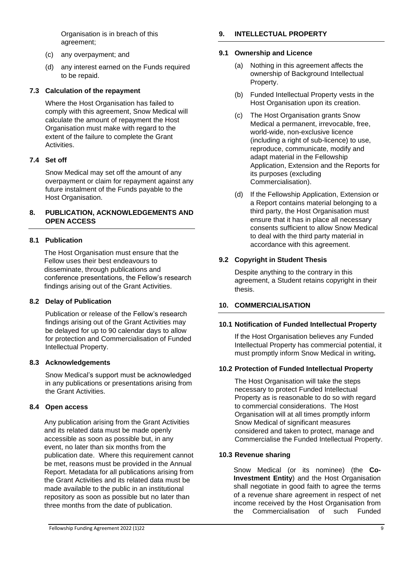Organisation is in breach of this agreement;

- (c) any overpayment; and
- (d) any interest earned on the Funds required to be repaid.

#### **7.3 Calculation of the repayment**

Where the Host Organisation has failed to comply with this agreement, Snow Medical will calculate the amount of repayment the Host Organisation must make with regard to the extent of the failure to complete the Grant **Activities.** 

### **7.4 Set off**

Snow Medical may set off the amount of any overpayment or claim for repayment against any future instalment of the Funds payable to the Host Organisation.

### **8. PUBLICATION, ACKNOWLEDGEMENTS AND OPEN ACCESS**

### **8.1 Publication**

The Host Organisation must ensure that the Fellow uses their best endeavours to disseminate, through publications and conference presentations, the Fellow's research findings arising out of the Grant Activities.

#### **8.2 Delay of Publication**

Publication or release of the Fellow's research findings arising out of the Grant Activities may be delayed for up to 90 calendar days to allow for protection and Commercialisation of Funded Intellectual Property.

#### **8.3 Acknowledgements**

Snow Medical's support must be acknowledged in any publications or presentations arising from the Grant Activities.

#### **8.4 Open access**

Any publication arising from the Grant Activities and its related data must be made openly accessible as soon as possible but, in any event, no later than six months from the publication date. Where this requirement cannot be met, reasons must be provided in the Annual Report. Metadata for all publications arising from the Grant Activities and its related data must be made available to the public in an institutional repository as soon as possible but no later than three months from the date of publication.

## **9. INTELLECTUAL PROPERTY**

#### **9.1 Ownership and Licence**

- (a) Nothing in this agreement affects the ownership of Background Intellectual Property.
- (b) Funded Intellectual Property vests in the Host Organisation upon its creation.
- (c) The Host Organisation grants Snow Medical a permanent, irrevocable, free, world-wide, non-exclusive licence (including a right of sub-licence) to use, reproduce, communicate, modify and adapt material in the Fellowship Application, Extension and the Reports for its purposes (excluding Commercialisation).
- (d) If the Fellowship Application, Extension or a Report contains material belonging to a third party, the Host Organisation must ensure that it has in place all necessary consents sufficient to allow Snow Medical to deal with the third party material in accordance with this agreement.

### **9.2 Copyright in Student Thesis**

Despite anything to the contrary in this agreement, a Student retains copyright in their thesis.

### **10. COMMERCIALISATION**

#### **10.1 Notification of Funded Intellectual Property**

If the Host Organisation believes any Funded Intellectual Property has commercial potential, it must promptly inform Snow Medical in writing**.** 

#### **10.2 Protection of Funded Intellectual Property**

The Host Organisation will take the steps necessary to protect Funded Intellectual Property as is reasonable to do so with regard to commercial considerations. The Host Organisation will at all times promptly inform Snow Medical of significant measures considered and taken to protect, manage and Commercialise the Funded Intellectual Property.

#### **10.3 Revenue sharing**

Snow Medical (or its nominee) (the **Co-Investment Entity**) and the Host Organisation shall negotiate in good faith to agree the terms of a revenue share agreement in respect of net income received by the Host Organisation from the Commercialisation of such Funded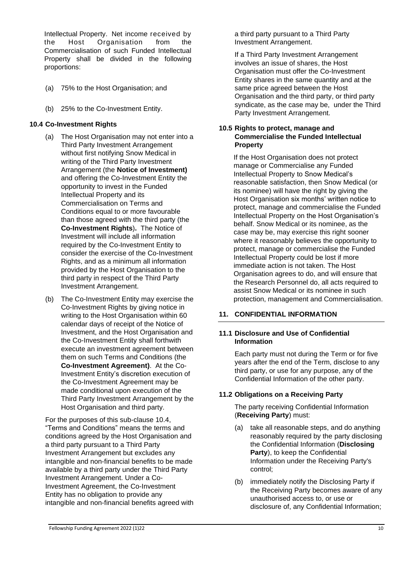Intellectual Property.Net income received by the Host Organisation from the Commercialisation of such Funded Intellectual Property shall be divided in the following proportions:

- (a) 75% to the Host Organisation; and
- (b) 25% to the Co-Investment Entity.

### **10.4 Co-Investment Rights**

- (a) The Host Organisation may not enter into a Third Party Investment Arrangement without first notifying Snow Medical in writing of the Third Party Investment Arrangement (the **Notice of Investment)**  and offering the Co-Investment Entity the opportunity to invest in the Funded Intellectual Property and its Commercialisation on Terms and Conditions equal to or more favourable than those agreed with the third party (the **Co-Investment Rights**)**.** The Notice of Investment will include all information required by the Co-Investment Entity to consider the exercise of the Co-Investment Rights, and as a minimum all information provided by the Host Organisation to the third party in respect of the Third Party Investment Arrangement.
- (b) The Co-Investment Entity may exercise the Co-Investment Rights by giving notice in writing to the Host Organisation within 60 calendar days of receipt of the Notice of Investment, and the Host Organisation and the Co-Investment Entity shall forthwith execute an investment agreement between them on such Terms and Conditions (the **Co-Investment Agreement)**. At the Co-Investment Entity's discretion execution of the Co-Investment Agreement may be made conditional upon execution of the Third Party Investment Arrangement by the Host Organisation and third party.

For the purposes of this sub-clause 10.4, "Terms and Conditions" means the terms and conditions agreed by the Host Organisation and a third party pursuant to a Third Party Investment Arrangement but excludes any intangible and non-financial benefits to be made available by a third party under the Third Party Investment Arrangement. Under a Co-Investment Agreement, the Co-Investment Entity has no obligation to provide any intangible and non-financial benefits agreed with a third party pursuant to a Third Party Investment Arrangement.

If a Third Party Investment Arrangement involves an issue of shares, the Host Organisation must offer the Co-Investment Entity shares in the same quantity and at the same price agreed between the Host Organisation and the third party, or third party syndicate, as the case may be, under the Third Party Investment Arrangement.

### **10.5 Rights to protect, manage and Commercialise the Funded Intellectual Property**

If the Host Organisation does not protect manage or Commercialise any Funded Intellectual Property to Snow Medical's reasonable satisfaction, then Snow Medical (or its nominee) will have the right by giving the Host Organisation six months' written notice to protect, manage and commercialise the Funded Intellectual Property on the Host Organisation's behalf. Snow Medical or its nominee, as the case may be, may exercise this right sooner where it reasonably believes the opportunity to protect, manage or commercialise the Funded Intellectual Property could be lost if more immediate action is not taken. The Host Organisation agrees to do, and will ensure that the Research Personnel do, all acts required to assist Snow Medical or its nominee in such protection, management and Commercialisation.

### **11. CONFIDENTIAL INFORMATION**

#### **11.1 Disclosure and Use of Confidential Information**

Each party must not during the Term or for five years after the end of the Term, disclose to any third party, or use for any purpose, any of the Confidential Information of the other party.

### **11.2 Obligations on a Receiving Party**

The party receiving Confidential Information (**Receiving Party**) must:

- (a) take all reasonable steps, and do anything reasonably required by the party disclosing the Confidential Information (**Disclosing Party**), to keep the Confidential Information under the Receiving Party's control;
- (b) immediately notify the Disclosing Party if the Receiving Party becomes aware of any unauthorised access to, or use or disclosure of, any Confidential Information;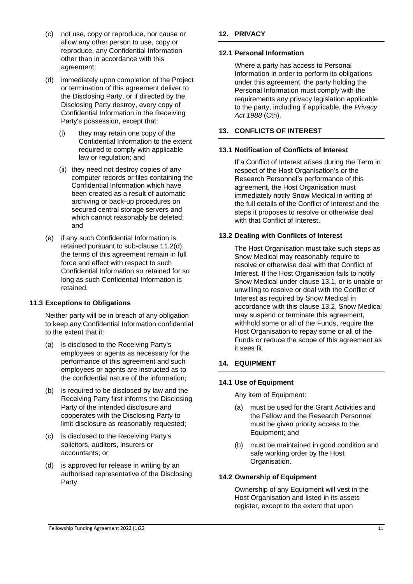- (c) not use, copy or reproduce, nor cause or allow any other person to use, copy or reproduce, any Confidential Information other than in accordance with this agreement;
- (d) immediately upon completion of the Project or termination of this agreement deliver to the Disclosing Party, or if directed by the Disclosing Party destroy, every copy of Confidential Information in the Receiving Party's possession, except that:
	- (i) they may retain one copy of the Confidential Information to the extent required to comply with applicable law or regulation; and
	- (ii) they need not destroy copies of any computer records or files containing the Confidential Information which have been created as a result of automatic archiving or back-up procedures on secured central storage servers and which cannot reasonably be deleted; and
- (e) if any such Confidential Information is retained pursuant to sub-clause 11.2(d), the terms of this agreement remain in full force and effect with respect to such Confidential Information so retained for so long as such Confidential Information is retained.

### **11.3 Exceptions to Obligations**

Neither party will be in breach of any obligation to keep any Confidential Information confidential to the extent that it:

- (a) is disclosed to the Receiving Party's employees or agents as necessary for the performance of this agreement and such employees or agents are instructed as to the confidential nature of the information;
- (b) is required to be disclosed by law and the Receiving Party first informs the Disclosing Party of the intended disclosure and cooperates with the Disclosing Party to limit disclosure as reasonably requested;
- (c) is disclosed to the Receiving Party's solicitors, auditors, insurers or accountants; or
- (d) is approved for release in writing by an authorised representative of the Disclosing Party.

### **12. PRIVACY**

### **12.1 Personal Information**

Where a party has access to Personal Information in order to perform its obligations under this agreement, the party holding the Personal Information must comply with the requirements any privacy legislation applicable to the party, including if applicable, the *Privacy Act 1988* (Cth).

### **13. CONFLICTS OF INTEREST**

### **13.1 Notification of Conflicts of Interest**

If a Conflict of Interest arises during the Term in respect of the Host Organisation's or the Research Personnel's performance of this agreement, the Host Organisation must immediately notify Snow Medical in writing of the full details of the Conflict of Interest and the steps it proposes to resolve or otherwise deal with that Conflict of Interest.

### **13.2 Dealing with Conflicts of Interest**

The Host Organisation must take such steps as Snow Medical may reasonably require to resolve or otherwise deal with that Conflict of Interest. If the Host Organisation fails to notify Snow Medical under clause 13.1, or is unable or unwilling to resolve or deal with the Conflict of Interest as required by Snow Medical in accordance with this clause 13.2, Snow Medical may suspend or terminate this agreement, withhold some or all of the Funds, require the Host Organisation to repay some or all of the Funds or reduce the scope of this agreement as it sees fit.

### **14. EQUIPMENT**

### **14.1 Use of Equipment**

Any item of Equipment:

- (a) must be used for the Grant Activities and the Fellow and the Research Personnel must be given priority access to the Equipment; and
- (b) must be maintained in good condition and safe working order by the Host Organisation.

### **14.2 Ownership of Equipment**

Ownership of any Equipment will vest in the Host Organisation and listed in its assets register, except to the extent that upon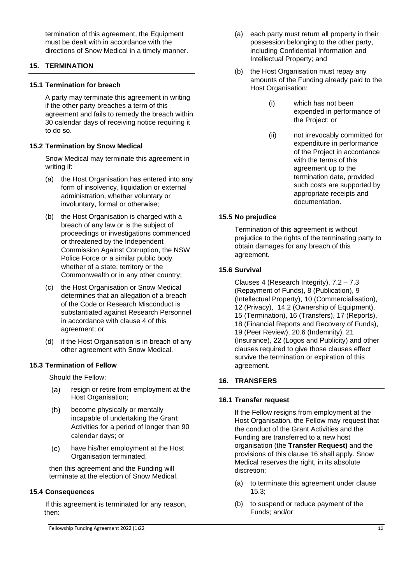termination of this agreement, the Equipment must be dealt with in accordance with the directions of Snow Medical in a timely manner.

### **15. TERMINATION**

#### **15.1 Termination for breach**

A party may terminate this agreement in writing if the other party breaches a term of this agreement and fails to remedy the breach within 30 calendar days of receiving notice requiring it to do so.

#### **15.2 Termination by Snow Medical**

Snow Medical may terminate this agreement in writing if:

- (a) the Host Organisation has entered into any form of insolvency, liquidation or external administration, whether voluntary or involuntary, formal or otherwise;
- (b) the Host Organisation is charged with a breach of any law or is the subject of proceedings or investigations commenced or threatened by the Independent Commission Against Corruption, the NSW Police Force or a similar public body whether of a state, territory or the Commonwealth or in any other country;
- (c) the Host Organisation or Snow Medical determines that an allegation of a breach of the Code or Research Misconduct is substantiated against Research Personnel in accordance with clause 4 of this agreement; or
- (d) if the Host Organisation is in breach of any other agreement with Snow Medical.

#### **15.3 Termination of Fellow**

Should the Fellow:

- $(a)$ resign or retire from employment at the Host Organisation;
- $(b)$ become physically or mentally incapable of undertaking the Grant Activities for a period of longer than 90 calendar days; or
- $(c)$ have his/her employment at the Host Organisation terminated,

then this agreement and the Funding will terminate at the election of Snow Medical.

#### **15.4 Consequences**

If this agreement is terminated for any reason, then:

- (a) each party must return all property in their possession belonging to the other party, including Confidential Information and Intellectual Property; and
- (b) the Host Organisation must repay any amounts of the Funding already paid to the Host Organisation:
	- (i) which has not been expended in performance of the Project; or
	- (ii) not irrevocably committed for expenditure in performance of the Project in accordance with the terms of this agreement up to the termination date, provided such costs are supported by appropriate receipts and documentation.

#### **15.5 No prejudice**

Termination of this agreement is without prejudice to the rights of the terminating party to obtain damages for any breach of this agreement.

#### **15.6 Survival**

Clauses 4 (Research Integrity), 7.2 – 7.3 (Repayment of Funds), 8 (Publication), 9 (Intellectual Property), 10 (Commercialisation), 12 (Privacy), 14.2 (Ownership of Equipment), 15 (Termination), 16 (Transfers), 17 (Reports), 18 (Financial Reports and Recovery of Funds), 19 (Peer Review), 20.6 (Indemnity), 21 (Insurance), 22 (Logos and Publicity) and other clauses required to give those clauses effect survive the termination or expiration of this agreement.

#### **16. TRANSFERS**

#### **16.1 Transfer request**

If the Fellow resigns from employment at the Host Organisation, the Fellow may request that the conduct of the Grant Activities and the Funding are transferred to a new host organisation (the **Transfer Request)** and the provisions of this clause 16 shall apply. Snow Medical reserves the right, in its absolute discretion:

- (a) to terminate this agreement under clause 15.3;
- (b) to suspend or reduce payment of the Funds; and/or

Fellowship Funding Agreement 2022 (1)22 12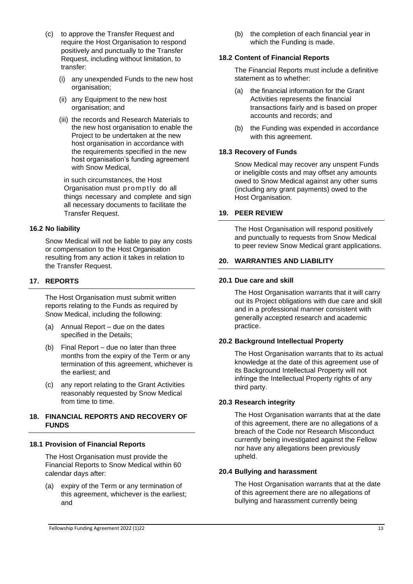- (c) to approve the Transfer Request and require the Host Organisation to respond positively and punctually to the Transfer Request, including without limitation, to transfer:
	- (i) any unexpended Funds to the new host organisation;
	- (ii) any Equipment to the new host organisation; and
	- (iii) the records and Research Materials to the new host organisation to enable the Project to be undertaken at the new host organisation in accordance with the requirements specified in the new host organisation's funding agreement with Snow Medical,

in such circumstances, the Host Organisation must promptly do all things necessary and complete and sign all necessary documents to facilitate the Transfer Request.

### **16.2 No liability**

Snow Medical will not be liable to pay any costs or compensation to the Host Organisation resulting from any action it takes in relation to the Transfer Request.

### **17. REPORTS**

The Host Organisation must submit written reports relating to the Funds as required by Snow Medical, including the following:

- (a) Annual Report due on the dates specified in the Details;
- (b) Final Report due no later than three months from the expiry of the Term or any termination of this agreement, whichever is the earliest; and
- (c) any report relating to the Grant Activities reasonably requested by Snow Medical from time to time.

#### **18. FINANCIAL REPORTS AND RECOVERY OF FUNDS**

### **18.1 Provision of Financial Reports**

The Host Organisation must provide the Financial Reports to Snow Medical within 60 calendar days after:

(a) expiry of the Term or any termination of this agreement, whichever is the earliest; and

(b) the completion of each financial year in which the Funding is made.

#### **18.2 Content of Financial Reports**

The Financial Reports must include a definitive statement as to whether:

- (a) the financial information for the Grant Activities represents the financial transactions fairly and is based on proper accounts and records; and
- (b) the Funding was expended in accordance with this agreement.

#### **18.3 Recovery of Funds**

Snow Medical may recover any unspent Funds or ineligible costs and may offset any amounts owed to Snow Medical against any other sums (including any grant payments) owed to the Host Organisation.

#### **19. PEER REVIEW**

The Host Organisation will respond positively and punctually to requests from Snow Medical to peer review Snow Medical grant applications.

### **20. WARRANTIES AND LIABILITY**

#### **20.1 Due care and skill**

The Host Organisation warrants that it will carry out its Project obligations with due care and skill and in a professional manner consistent with generally accepted research and academic practice.

#### **20.2 Background Intellectual Property**

The Host Organisation warrants that to its actual knowledge at the date of this agreement use of its Background Intellectual Property will not infringe the Intellectual Property rights of any third party.

#### **20.3 Research integrity**

The Host Organisation warrants that at the date of this agreement, there are no allegations of a breach of the Code nor Research Misconduct currently being investigated against the Fellow nor have any allegations been previously upheld.

### **20.4 Bullying and harassment**

The Host Organisation warrants that at the date of this agreement there are no allegations of bullying and harassment currently being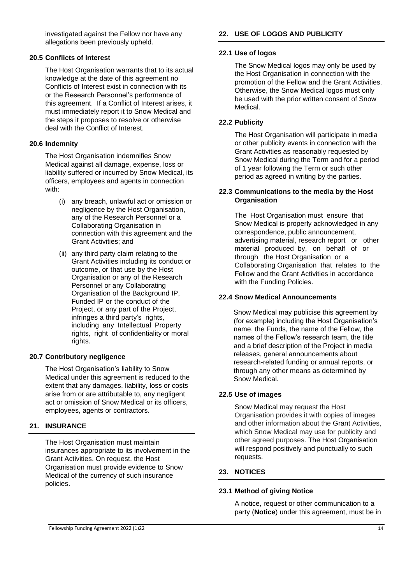investigated against the Fellow nor have any allegations been previously upheld.

### **20.5 Conflicts of Interest**

The Host Organisation warrants that to its actual knowledge at the date of this agreement no Conflicts of Interest exist in connection with its or the Research Personnel's performance of this agreement. If a Conflict of Interest arises, it must immediately report it to Snow Medical and the steps it proposes to resolve or otherwise deal with the Conflict of Interest.

### **20.6 Indemnity**

The Host Organisation indemnifies Snow Medical against all damage, expense, loss or liability suffered or incurred by Snow Medical, its officers, employees and agents in connection with:

- (i) any breach, unlawful act or omission or negligence by the Host Organisation, any of the Research Personnel or a Collaborating Organisation in connection with this agreement and the Grant Activities; and
- (ii) any third party claim relating to the Grant Activities including its conduct or outcome, or that use by the Host Organisation or any of the Research Personnel or any Collaborating Organisation of the Background IP, Funded IP or the conduct of the Project, or any part of the Project, infringes a third party's rights, including any Intellectual Property rights, right of confidentiality or moral rights.

### **20.7 Contributory negligence**

The Host Organisation's liability to Snow Medical under this agreement is reduced to the extent that any damages, liability, loss or costs arise from or are attributable to, any negligent act or omission of Snow Medical or its officers, employees, agents or contractors.

### **21. INSURANCE**

The Host Organisation must maintain insurances appropriate to its involvement in the Grant Activities. On request, the Host Organisation must provide evidence to Snow Medical of the currency of such insurance policies.

## **22. USE OF LOGOS AND PUBLICITY**

## **22.1 Use of logos**

The Snow Medical logos may only be used by the Host Organisation in connection with the promotion of the Fellow and the Grant Activities. Otherwise, the Snow Medical logos must only be used with the prior written consent of Snow Medical.

### **22.2 Publicity**

The Host Organisation will participate in media or other publicity events in connection with the Grant Activities as reasonably requested by Snow Medical during the Term and for a period of 1 year following the Term or such other period as agreed in writing by the parties.

#### **22.3 Communications to the media by the Host Organisation**

The Host Organisation must ensure that Snow Medical is properly acknowledged in any correspondence, public announcement, advertising material, research report or other material produced by, on behalf of or through the Host Organisation or a Collaborating Organisation that relates to the Fellow and the Grant Activities in accordance with the Funding Policies.

### **22.4 Snow Medical Announcements**

Snow Medical may publicise this agreement by (for example) including the Host Organisation's name, the Funds, the name of the Fellow, the names of the Fellow's research team, the title and a brief description of the Project in media releases, general announcements about research-related funding or annual reports, or through any other means as determined by Snow Medical.

### **22.5 Use of images**

Snow Medical may request the Host Organisation provides it with copies of images and other information about the Grant Activities, which Snow Medical may use for publicity and other agreed purposes. The Host Organisation will respond positively and punctually to such requests.

### **23. NOTICES**

### **23.1 Method of giving Notice**

A notice, request or other communication to a party (**Notice**) under this agreement, must be in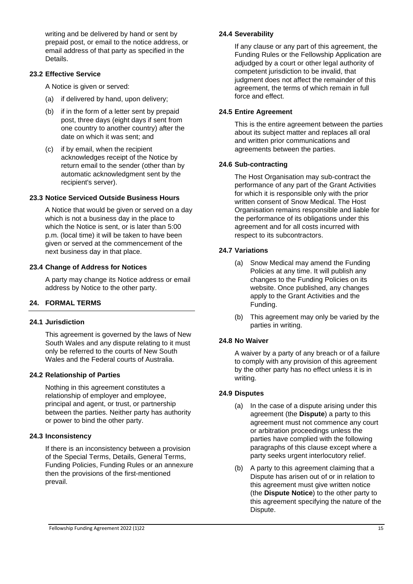writing and be delivered by hand or sent by prepaid post, or email to the notice address, or email address of that party as specified in the **Details** 

### **23.2 Effective Service**

A Notice is given or served:

- (a) if delivered by hand, upon delivery;
- (b) if in the form of a letter sent by prepaid post, three days (eight days if sent from one country to another country) after the date on which it was sent; and
- (c) if by email, when the recipient acknowledges receipt of the Notice by return email to the sender (other than by automatic acknowledgment sent by the recipient's server).

### **23.3 Notice Serviced Outside Business Hours**

A Notice that would be given or served on a day which is not a business day in the place to which the Notice is sent, or is later than 5:00 p.m. (local time) it will be taken to have been given or served at the commencement of the next business day in that place.

### **23.4 Change of Address for Notices**

A party may change its Notice address or email address by Notice to the other party.

### **24. FORMAL TERMS**

### **24.1 Jurisdiction**

This agreement is governed by the laws of New South Wales and any dispute relating to it must only be referred to the courts of New South Wales and the Federal courts of Australia.

### **24.2 Relationship of Parties**

Nothing in this agreement constitutes a relationship of employer and employee, principal and agent, or trust, or partnership between the parties. Neither party has authority or power to bind the other party.

### **24.3 Inconsistency**

If there is an inconsistency between a provision of the Special Terms, Details, General Terms, Funding Policies, Funding Rules or an annexure then the provisions of the first-mentioned prevail.

### **24.4 Severability**

If any clause or any part of this agreement, the Funding Rules or the Fellowship Application are adjudged by a court or other legal authority of competent jurisdiction to be invalid, that judgment does not affect the remainder of this agreement, the terms of which remain in full force and effect.

### **24.5 Entire Agreement**

This is the entire agreement between the parties about its subject matter and replaces all oral and written prior communications and agreements between the parties.

### **24.6 Sub-contracting**

The Host Organisation may sub-contract the performance of any part of the Grant Activities for which it is responsible only with the prior written consent of Snow Medical. The Host Organisation remains responsible and liable for the performance of its obligations under this agreement and for all costs incurred with respect to its subcontractors.

### **24.7 Variations**

- (a) Snow Medical may amend the Funding Policies at any time. It will publish any changes to the Funding Policies on its website. Once published, any changes apply to the Grant Activities and the Funding.
- (b) This agreement may only be varied by the parties in writing.

### **24.8 No Waiver**

A waiver by a party of any breach or of a failure to comply with any provision of this agreement by the other party has no effect unless it is in writing.

### **24.9 Disputes**

- (a) In the case of a dispute arising under this agreement (the **Dispute**) a party to this agreement must not commence any court or arbitration proceedings unless the parties have complied with the following paragraphs of this clause except where a party seeks urgent interlocutory relief.
- (b) A party to this agreement claiming that a Dispute has arisen out of or in relation to this agreement must give written notice (the **Dispute Notice**) to the other party to this agreement specifying the nature of the Dispute.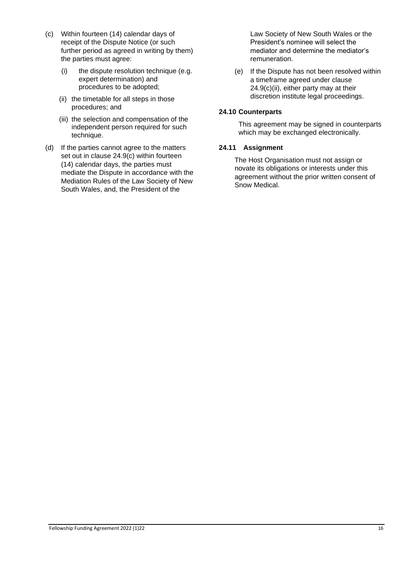- (c) Within fourteen (14) calendar days of receipt of the Dispute Notice (or such further period as agreed in writing by them) the parties must agree:
	- (i) the dispute resolution technique (e.g. expert determination) and procedures to be adopted;
	- (ii) the timetable for all steps in those procedures; and
	- (iii) the selection and compensation of the independent person required for such technique.
- (d) If the parties cannot agree to the matters set out in clause 24.9(c) within fourteen (14) calendar days, the parties must mediate the Dispute in accordance with the Mediation Rules of the Law Society of New South Wales, and, the President of the

Law Society of New South Wales or the President's nominee will select the mediator and determine the mediator's remuneration.

(e) If the Dispute has not been resolved within a timeframe agreed under clause  $24.9(c)$ (ii), either party may at their discretion institute legal proceedings.

### **24.10 Counterparts**

This agreement may be signed in counterparts which may be exchanged electronically.

### **24.11 Assignment**

The Host Organisation must not assign or novate its obligations or interests under this agreement without the prior written consent of Snow Medical.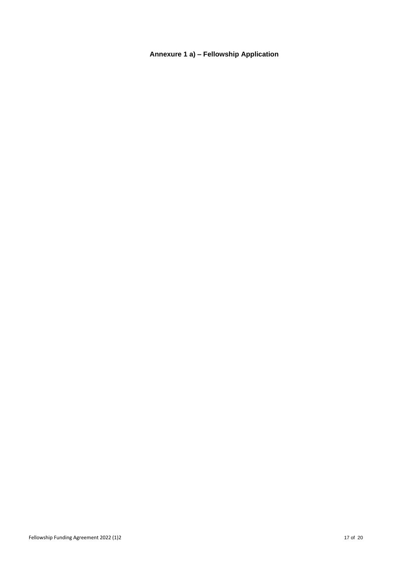## **Annexure 1 a) – Fellowship Application**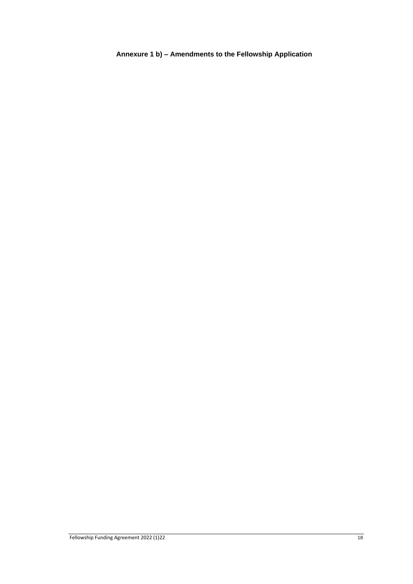# **Annexure 1 b) – Amendments to the Fellowship Application**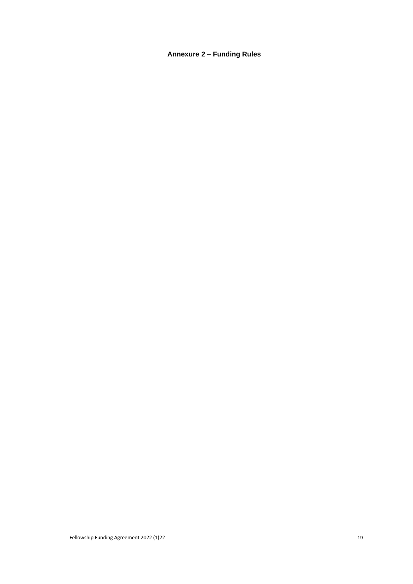# **Annexure 2 – Funding Rules**